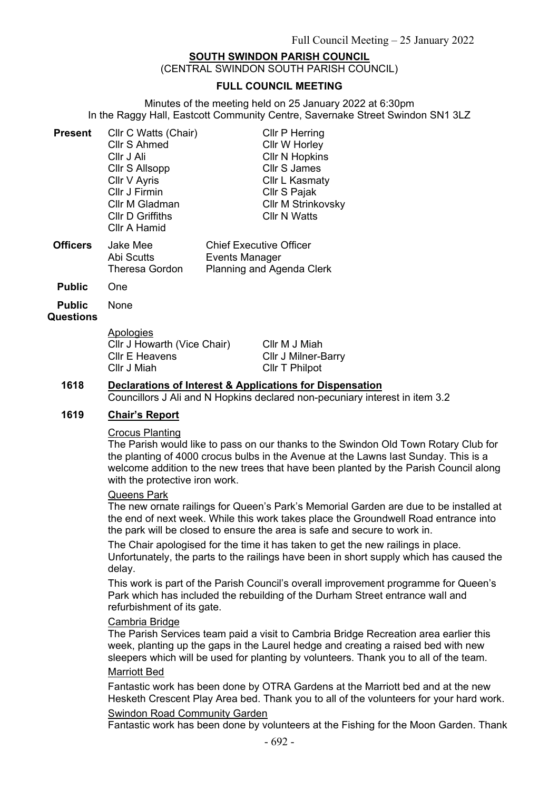# **SOUTH SWINDON PARISH COUNCIL**

(CENTRAL SWINDON SOUTH PARISH COUNCIL)

## **FULL COUNCIL MEETING**

Minutes of the meeting held on 25 January 2022 at 6:30pm In the Raggy Hall, Eastcott Community Centre, Savernake Street Swindon SN1 3LZ

| <b>Present</b>  | Cllr C Watts (Chair)    | <b>CIIr P Herring</b>          |  |  |
|-----------------|-------------------------|--------------------------------|--|--|
|                 | <b>Cllr S Ahmed</b>     | Cllr W Horley                  |  |  |
|                 | Cllr J Ali              | <b>CIIr N Hopkins</b>          |  |  |
|                 | Cllr S Allsopp          | <b>Cllr S James</b>            |  |  |
|                 | Cllr V Ayris            | Cllr L Kasmaty                 |  |  |
|                 | Cllr J Firmin           | Cllr S Pajak                   |  |  |
|                 | Cllr M Gladman          | <b>Cllr M Strinkovsky</b>      |  |  |
|                 | <b>CIIr D Griffiths</b> | <b>Cllr N Watts</b>            |  |  |
|                 | Cllr A Hamid            |                                |  |  |
| <b>Officers</b> | Jake Mee                | <b>Chief Executive Officer</b> |  |  |
|                 | Abi Scutts              | Events Manager                 |  |  |
|                 | <b>Theresa Gordon</b>   | Planning and Agenda Clerk      |  |  |

**Public** One

**Public**  None

#### **Questions**

| Apologies                   |  |
|-----------------------------|--|
| Cllr J Howarth (Vice Chair) |  |
| Cllr E Heavens              |  |
| Cllr J Miah                 |  |

Cllr M J Miah Cllr J Milner-Barry Cllr T Philpot

# **1618 Declarations of Interest & Applications for Dispensation**

Councillors J Ali and N Hopkins declared non-pecuniary interest in item 3.2

## **1619 Chair's Report**

#### Crocus Planting

The Parish would like to pass on our thanks to the Swindon Old Town Rotary Club for the planting of 4000 crocus bulbs in the Avenue at the Lawns last Sunday. This is a welcome addition to the new trees that have been planted by the Parish Council along with the protective iron work.

#### Queens Park

The new ornate railings for Queen's Park's Memorial Garden are due to be installed at the end of next week. While this work takes place the Groundwell Road entrance into the park will be closed to ensure the area is safe and secure to work in.

The Chair apologised for the time it has taken to get the new railings in place. Unfortunately, the parts to the railings have been in short supply which has caused the delay.

This work is part of the Parish Council's overall improvement programme for Queen's Park which has included the rebuilding of the Durham Street entrance wall and refurbishment of its gate.

### Cambria Bridge

The Parish Services team paid a visit to Cambria Bridge Recreation area earlier this week, planting up the gaps in the Laurel hedge and creating a raised bed with new sleepers which will be used for planting by volunteers. Thank you to all of the team.

#### Marriott Bed

Fantastic work has been done by OTRA Gardens at the Marriott bed and at the new Hesketh Crescent Play Area bed. Thank you to all of the volunteers for your hard work.

## Swindon Road Community Garden

Fantastic work has been done by volunteers at the Fishing for the Moon Garden. Thank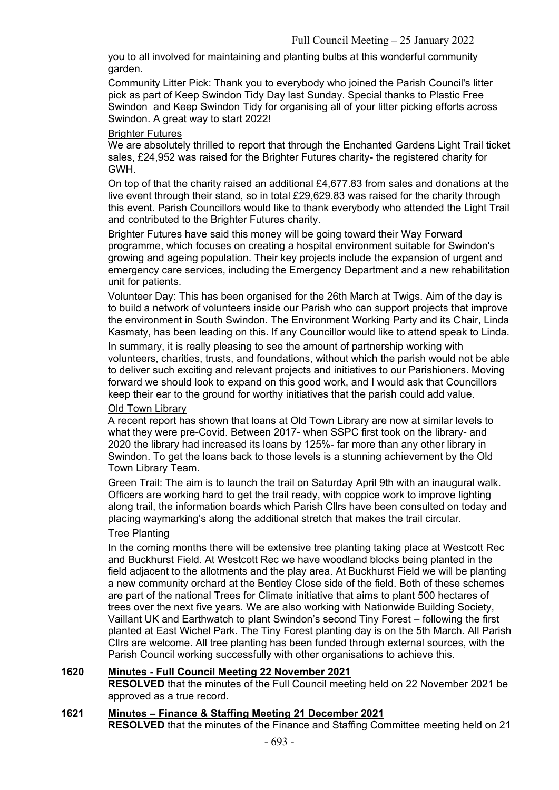you to all involved for maintaining and planting bulbs at this wonderful community garden.

Community Litter Pick: Thank you to everybody who joined the Parish Council's litter pick as part of Keep Swindon Tidy Day last Sunday. Special thanks to Plastic Free Swindon and Keep Swindon Tidy for organising all of your litter picking efforts across Swindon. A great way to start 2022!

### Brighter Futures

We are absolutely thrilled to report that through the Enchanted Gardens Light Trail ticket sales, £24,952 was raised for the Brighter Futures charity- the registered charity for GWH.

On top of that the charity raised an additional £4,677.83 from sales and donations at the live event through their stand, so in total £29,629.83 was raised for the charity through this event. Parish Councillors would like to thank everybody who attended the Light Trail and contributed to the Brighter Futures charity.

Brighter Futures have said this money will be going toward their Way Forward programme, which focuses on creating a hospital environment suitable for Swindon's growing and ageing population. Their key projects include the expansion of urgent and emergency care services, including the Emergency Department and a new rehabilitation unit for patients.

Volunteer Day: This has been organised for the 26th March at Twigs. Aim of the day is to build a network of volunteers inside our Parish who can support projects that improve the environment in South Swindon. The Environment Working Party and its Chair, Linda Kasmaty, has been leading on this. If any Councillor would like to attend speak to Linda.

In summary, it is really pleasing to see the amount of partnership working with volunteers, charities, trusts, and foundations, without which the parish would not be able to deliver such exciting and relevant projects and initiatives to our Parishioners. Moving forward we should look to expand on this good work, and I would ask that Councillors keep their ear to the ground for worthy initiatives that the parish could add value.

# Old Town Library

A recent report has shown that loans at Old Town Library are now at similar levels to what they were pre-Covid. Between 2017- when SSPC first took on the library- and 2020 the library had increased its loans by 125%- far more than any other library in Swindon. To get the loans back to those levels is a stunning achievement by the Old Town Library Team.

Green Trail: The aim is to launch the trail on Saturday April 9th with an inaugural walk. Officers are working hard to get the trail ready, with coppice work to improve lighting along trail, the information boards which Parish Cllrs have been consulted on today and placing waymarking's along the additional stretch that makes the trail circular.

# Tree Planting

In the coming months there will be extensive tree planting taking place at Westcott Rec and Buckhurst Field. At Westcott Rec we have woodland blocks being planted in the field adjacent to the allotments and the play area. At Buckhurst Field we will be planting a new community orchard at the Bentley Close side of the field. Both of these schemes are part of the national Trees for Climate initiative that aims to plant 500 hectares of trees over the next five years. We are also working with Nationwide Building Society, Vaillant UK and Earthwatch to plant Swindon's second Tiny Forest – following the first planted at East Wichel Park. The Tiny Forest planting day is on the 5th March. All Parish Cllrs are welcome. All tree planting has been funded through external sources, with the Parish Council working successfully with other organisations to achieve this.

# **1620 Minutes - Full Council Meeting 22 November 2021**

**RESOLVED** that the minutes of the Full Council meeting held on 22 November 2021 be approved as a true record.

# **1621 Minutes – Finance & Staffing Meeting 21 December 2021**

**RESOLVED** that the minutes of the Finance and Staffing Committee meeting held on 21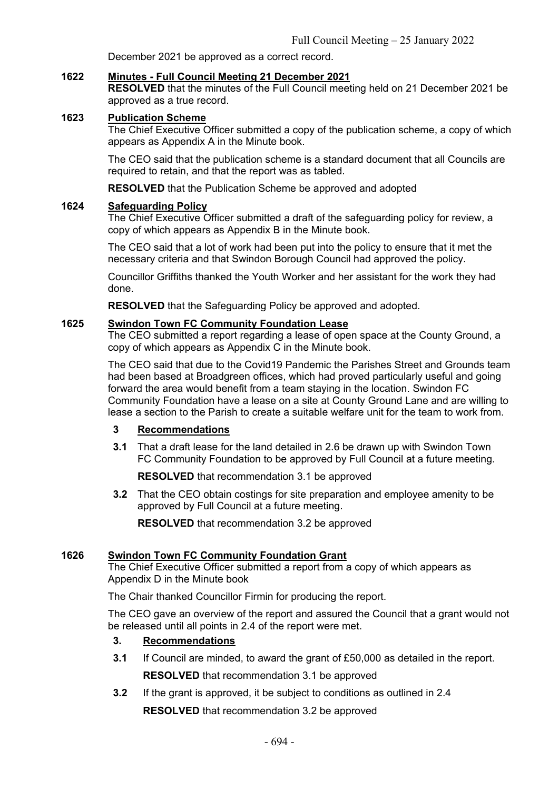December 2021 be approved as a correct record.

### **1622 Minutes - Full Council Meeting 21 December 2021**

**RESOLVED** that the minutes of the Full Council meeting held on 21 December 2021 be approved as a true record.

# **1623 Publication Scheme**

The Chief Executive Officer submitted a copy of the publication scheme, a copy of which appears as Appendix A in the Minute book.

The CEO said that the publication scheme is a standard document that all Councils are required to retain, and that the report was as tabled.

**RESOLVED** that the Publication Scheme be approved and adopted

#### **1624 Safeguarding Policy**

The Chief Executive Officer submitted a draft of the safeguarding policy for review, a copy of which appears as Appendix B in the Minute book.

The CEO said that a lot of work had been put into the policy to ensure that it met the necessary criteria and that Swindon Borough Council had approved the policy.

Councillor Griffiths thanked the Youth Worker and her assistant for the work they had done.

**RESOLVED** that the Safeguarding Policy be approved and adopted.

### **1625 Swindon Town FC Community Foundation Lease**

The CEO submitted a report regarding a lease of open space at the County Ground, a copy of which appears as Appendix C in the Minute book.

The CEO said that due to the Covid19 Pandemic the Parishes Street and Grounds team had been based at Broadgreen offices, which had proved particularly useful and going forward the area would benefit from a team staying in the location. Swindon FC Community Foundation have a lease on a site at County Ground Lane and are willing to lease a section to the Parish to create a suitable welfare unit for the team to work from.

#### **3 Recommendations**

**3.1** That a draft lease for the land detailed in 2.6 be drawn up with Swindon Town FC Community Foundation to be approved by Full Council at a future meeting.

**RESOLVED** that recommendation 3.1 be approved

**3.2** That the CEO obtain costings for site preparation and employee amenity to be approved by Full Council at a future meeting.

**RESOLVED** that recommendation 3.2 be approved

## **1626 Swindon Town FC Community Foundation Grant**

The Chief Executive Officer submitted a report from a copy of which appears as Appendix D in the Minute book

The Chair thanked Councillor Firmin for producing the report.

The CEO gave an overview of the report and assured the Council that a grant would not be released until all points in 2.4 of the report were met.

## **3. Recommendations**

- **3.1** If Council are minded, to award the grant of £50,000 as detailed in the report. **RESOLVED** that recommendation 3.1 be approved
- **3.2** If the grant is approved, it be subject to conditions as outlined in 2.4 **RESOLVED** that recommendation 3.2 be approved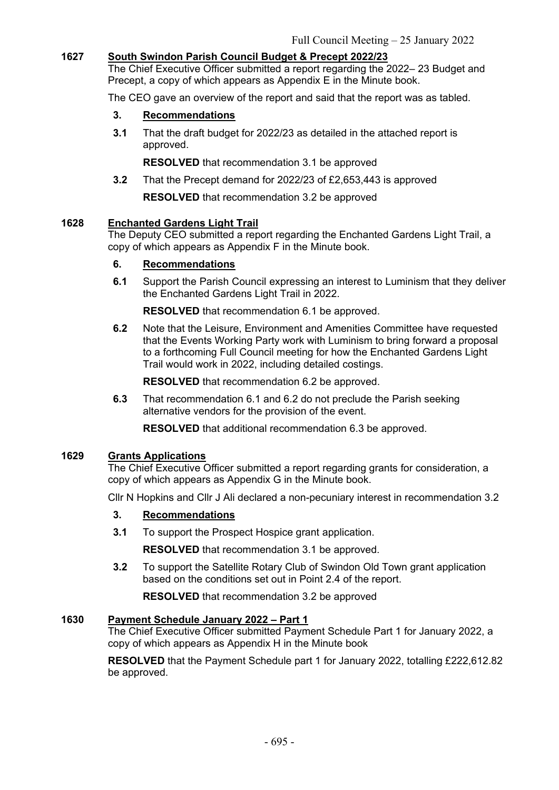# **1627 South Swindon Parish Council Budget & Precept 2022/23**

The Chief Executive Officer submitted a report regarding the 2022– 23 Budget and Precept, a copy of which appears as Appendix E in the Minute book.

The CEO gave an overview of the report and said that the report was as tabled.

# **3. Recommendations**

**3.1** That the draft budget for 2022/23 as detailed in the attached report is approved.

**RESOLVED** that recommendation 3.1 be approved

**3.2** That the Precept demand for 2022/23 of £2,653,443 is approved

**RESOLVED** that recommendation 3.2 be approved

# **1628 Enchanted Gardens Light Trail**

The Deputy CEO submitted a report regarding the Enchanted Gardens Light Trail, a copy of which appears as Appendix F in the Minute book.

# **6. Recommendations**

**6.1** Support the Parish Council expressing an interest to Luminism that they deliver the Enchanted Gardens Light Trail in 2022.

**RESOLVED** that recommendation 6.1 be approved.

**6.2** Note that the Leisure, Environment and Amenities Committee have requested that the Events Working Party work with Luminism to bring forward a proposal to a forthcoming Full Council meeting for how the Enchanted Gardens Light Trail would work in 2022, including detailed costings.

**RESOLVED** that recommendation 6.2 be approved.

**6.3** That recommendation 6.1 and 6.2 do not preclude the Parish seeking alternative vendors for the provision of the event.

**RESOLVED** that additional recommendation 6.3 be approved.

## **1629 Grants Applications**

The Chief Executive Officer submitted a report regarding grants for consideration, a copy of which appears as Appendix G in the Minute book.

Cllr N Hopkins and Cllr J Ali declared a non-pecuniary interest in recommendation 3.2

## **3. Recommendations**

**3.1** To support the Prospect Hospice grant application.

**RESOLVED** that recommendation 3.1 be approved.

**3.2** To support the Satellite Rotary Club of Swindon Old Town grant application based on the conditions set out in Point 2.4 of the report.

**RESOLVED** that recommendation 3.2 be approved

# **1630 Payment Schedule January 2022 – Part 1**

The Chief Executive Officer submitted Payment Schedule Part 1 for January 2022, a copy of which appears as Appendix H in the Minute book

**RESOLVED** that the Payment Schedule part 1 for January 2022, totalling £222,612.82 be approved.